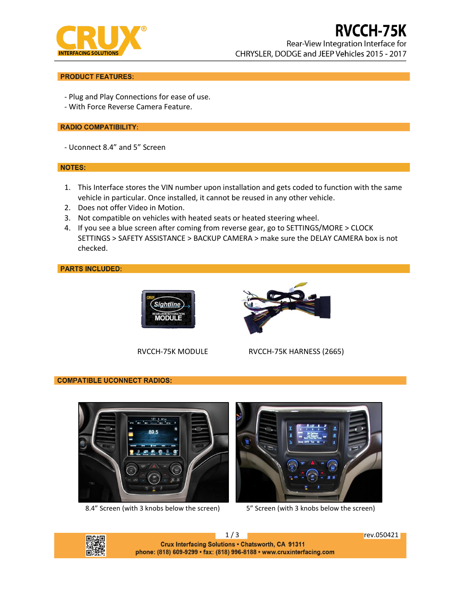

# **RVCCH-75K**

Rear-View Integration Interface for CHRYSLER, DODGE and JEEP Vehicles 2015 - 2017

# **PRODUCT FEATURES:**

- Plug and Play Connections for ease of use.
- With Force Reverse Camera Feature.

# **RADIO COMPATIBILITY:**

- Uconnect 8.4" and 5" Screen

### **NOTES:**

- 1. This Interface stores the VIN number upon installation and gets coded to function with the same vehicle in particular. Once installed, it cannot be reused in any other vehicle.
- 2. Does not offer Video in Motion.
- 3. Not compatible on vehicles with heated seats or heated steering wheel.
- 4. If you see a blue screen after coming from reverse gear, go to SETTINGS/MORE > CLOCK SETTINGS > SAFETY ASSISTANCE > BACKUP CAMERA > make sure the DELAY CAMERA box is not checked.

**PARTS INCLUDED:** 





RVCCH-75K MODULE RVCCH-75K HARNESS (2665)

# **COMPATIBLE UCONNECT RADIOS:**



8.4" Screen (with 3 knobs below the screen) 5" Screen (with 3 knobs below the screen)





1/3 rev.050421 Crux Interfacing Solutions . Chatsworth, CA 91311 phone: (818) 609-9299 · fax: (818) 996-8188 · www.cruxinterfacing.com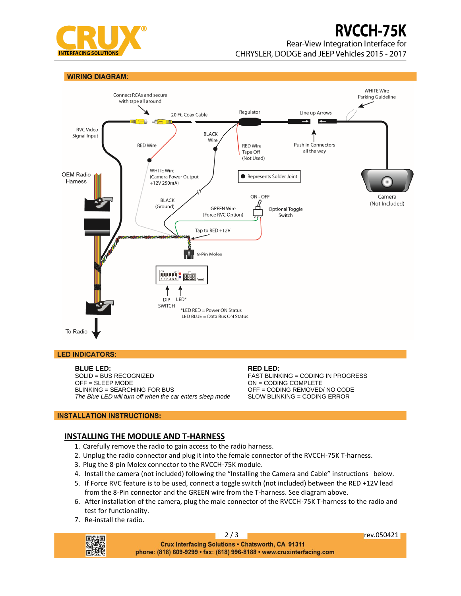

# **RVCCH-75K**

Rear-View Integration Interface for

CHRYSLER, DODGE and JEEP Vehicles 2015 - 2017

**WIRING DIAGRAM:** 



### **LED INDICATORS:**

**BLUE LED:** SOLID = BUS RECOGNIZED OFF = SLEEP MODE BLINKING = SEARCHING FOR BUS *The Blue LED will turn off when the car enters sleep mode*

# **RED LED:**

FAST BLINKING = CODING IN PROGRESS ON = CODING COMPLETE OFF = CODING REMOVED/ NO CODE SLOW BLINKING = CODING ERROR

# **INSTALLATION INSTRUCTIONS:**

# **INSTALLING THE MODULE AND T-HARNESS**

- 1. Carefully remove the radio to gain access to the radio harness.
- 2. Unplug the radio connector and plug it into the female connector of the RVCCH-75K T-harness.
- 3. Plug the 8-pin Molex connector to the RVCCH-75K module.
- 4. Install the camera (not included) following the "Installing the Camera and Cable" instructions below.
- 5. If Force RVC feature is to be used, connect a toggle switch (not included) between the RED +12V lead from the 8-Pin connector and the GREEN wire from the T-harness. See diagram above.
- 6. After installation of the camera, plug the male connector of the RVCCH-75K T-harness to the radio and test for functionality.
- 7. Re-install the radio.



2 / 3 **rev.050421** Crux Interfacing Solutions . Chatsworth, CA 91311 phone: (818) 609-9299 · fax: (818) 996-8188 · www.cruxinterfacing.com